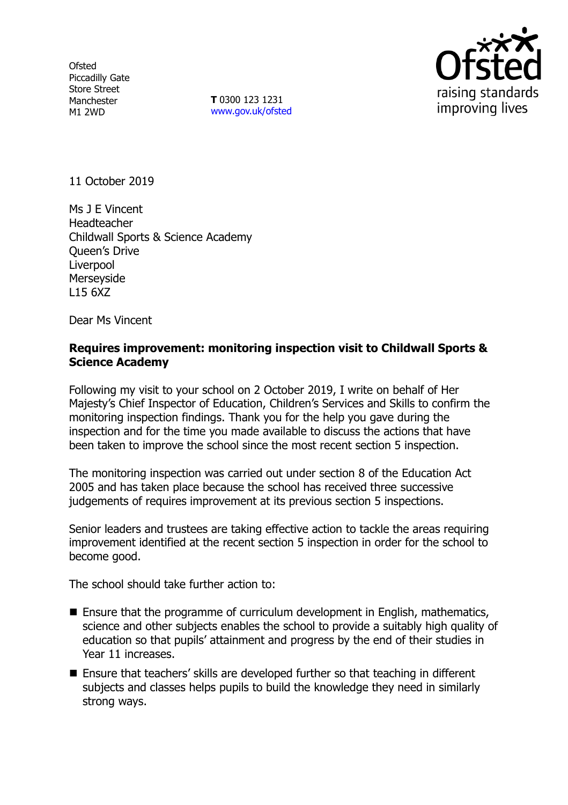**Ofsted** Piccadilly Gate Store Street Manchester M1 2WD

**T** 0300 123 1231 [www.gov.uk/ofsted](http://www.gov.uk/ofsted)



11 October 2019

Ms J E Vincent Headteacher Childwall Sports & Science Academy Queen's Drive **Liverpool** Merseyside L15 6XZ

Dear Ms Vincent

### **Requires improvement: monitoring inspection visit to Childwall Sports & Science Academy**

Following my visit to your school on 2 October 2019, I write on behalf of Her Majesty's Chief Inspector of Education, Children's Services and Skills to confirm the monitoring inspection findings. Thank you for the help you gave during the inspection and for the time you made available to discuss the actions that have been taken to improve the school since the most recent section 5 inspection.

The monitoring inspection was carried out under section 8 of the Education Act 2005 and has taken place because the school has received three successive judgements of requires improvement at its previous section 5 inspections.

Senior leaders and trustees are taking effective action to tackle the areas requiring improvement identified at the recent section 5 inspection in order for the school to become good.

The school should take further action to:

- Ensure that the programme of curriculum development in English, mathematics, science and other subjects enables the school to provide a suitably high quality of education so that pupils' attainment and progress by the end of their studies in Year 11 increases.
- Ensure that teachers' skills are developed further so that teaching in different subjects and classes helps pupils to build the knowledge they need in similarly strong ways.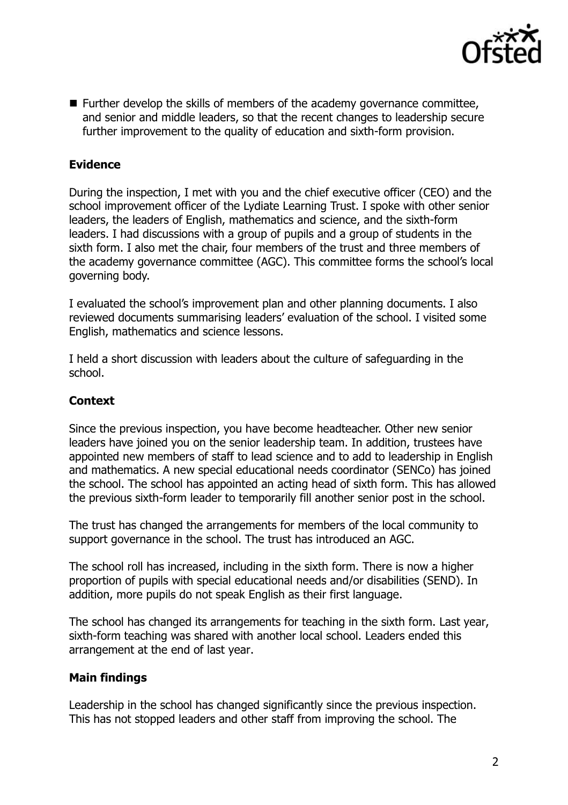

■ Further develop the skills of members of the academy governance committee, and senior and middle leaders, so that the recent changes to leadership secure further improvement to the quality of education and sixth-form provision.

# **Evidence**

During the inspection, I met with you and the chief executive officer (CEO) and the school improvement officer of the Lydiate Learning Trust. I spoke with other senior leaders, the leaders of English, mathematics and science, and the sixth-form leaders. I had discussions with a group of pupils and a group of students in the sixth form. I also met the chair, four members of the trust and three members of the academy governance committee (AGC). This committee forms the school's local governing body.

I evaluated the school's improvement plan and other planning documents. I also reviewed documents summarising leaders' evaluation of the school. I visited some English, mathematics and science lessons.

I held a short discussion with leaders about the culture of safeguarding in the school.

# **Context**

Since the previous inspection, you have become headteacher. Other new senior leaders have joined you on the senior leadership team. In addition, trustees have appointed new members of staff to lead science and to add to leadership in English and mathematics. A new special educational needs coordinator (SENCo) has joined the school. The school has appointed an acting head of sixth form. This has allowed the previous sixth-form leader to temporarily fill another senior post in the school.

The trust has changed the arrangements for members of the local community to support governance in the school. The trust has introduced an AGC.

The school roll has increased, including in the sixth form. There is now a higher proportion of pupils with special educational needs and/or disabilities (SEND). In addition, more pupils do not speak English as their first language.

The school has changed its arrangements for teaching in the sixth form. Last year, sixth-form teaching was shared with another local school. Leaders ended this arrangement at the end of last year.

## **Main findings**

Leadership in the school has changed significantly since the previous inspection. This has not stopped leaders and other staff from improving the school. The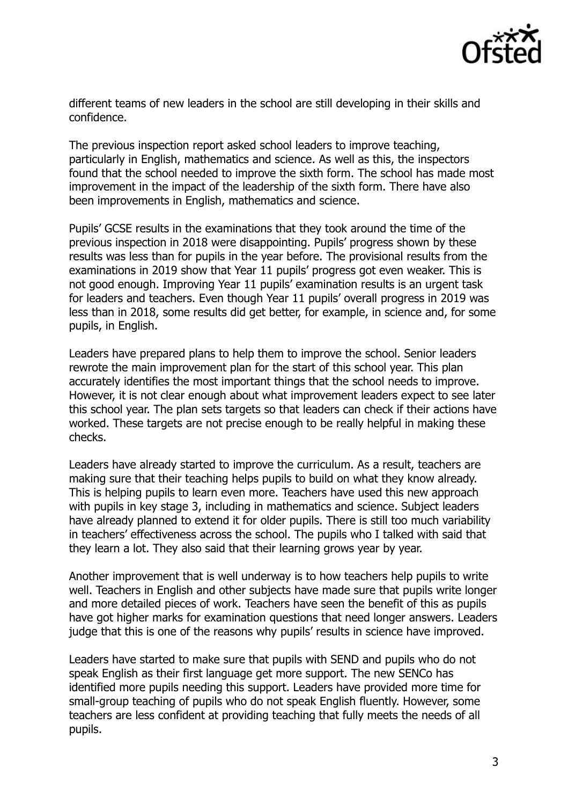

different teams of new leaders in the school are still developing in their skills and confidence.

The previous inspection report asked school leaders to improve teaching, particularly in English, mathematics and science. As well as this, the inspectors found that the school needed to improve the sixth form. The school has made most improvement in the impact of the leadership of the sixth form. There have also been improvements in English, mathematics and science.

Pupils' GCSE results in the examinations that they took around the time of the previous inspection in 2018 were disappointing. Pupils' progress shown by these results was less than for pupils in the year before. The provisional results from the examinations in 2019 show that Year 11 pupils' progress got even weaker. This is not good enough. Improving Year 11 pupils' examination results is an urgent task for leaders and teachers. Even though Year 11 pupils' overall progress in 2019 was less than in 2018, some results did get better, for example, in science and, for some pupils, in English.

Leaders have prepared plans to help them to improve the school. Senior leaders rewrote the main improvement plan for the start of this school year. This plan accurately identifies the most important things that the school needs to improve. However, it is not clear enough about what improvement leaders expect to see later this school year. The plan sets targets so that leaders can check if their actions have worked. These targets are not precise enough to be really helpful in making these checks.

Leaders have already started to improve the curriculum. As a result, teachers are making sure that their teaching helps pupils to build on what they know already. This is helping pupils to learn even more. Teachers have used this new approach with pupils in key stage 3, including in mathematics and science. Subject leaders have already planned to extend it for older pupils. There is still too much variability in teachers' effectiveness across the school. The pupils who I talked with said that they learn a lot. They also said that their learning grows year by year.

Another improvement that is well underway is to how teachers help pupils to write well. Teachers in English and other subjects have made sure that pupils write longer and more detailed pieces of work. Teachers have seen the benefit of this as pupils have got higher marks for examination questions that need longer answers. Leaders judge that this is one of the reasons why pupils' results in science have improved.

Leaders have started to make sure that pupils with SEND and pupils who do not speak English as their first language get more support. The new SENCo has identified more pupils needing this support. Leaders have provided more time for small-group teaching of pupils who do not speak English fluently. However, some teachers are less confident at providing teaching that fully meets the needs of all pupils.